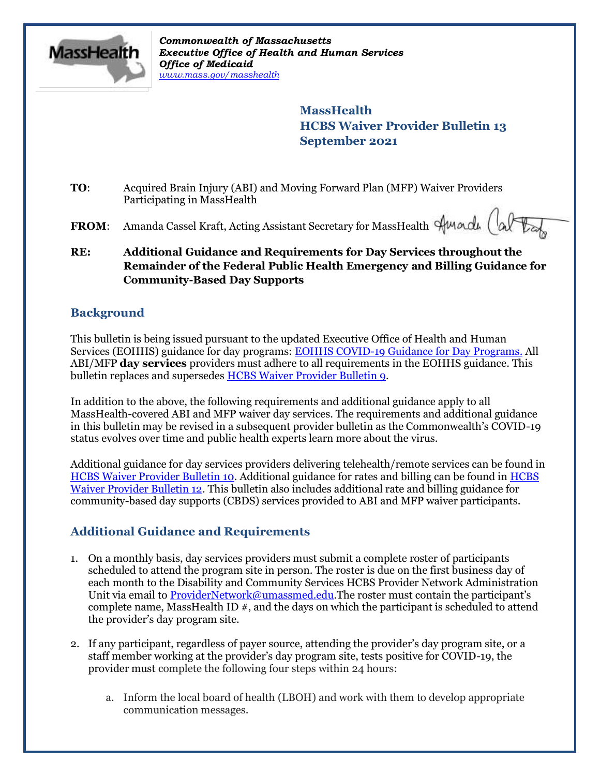

*Commonwealth of Massachusetts Executive Office of Health and Human Services Office of Medicaid www.mass.gov/masshealth*

> **MassHealth HCBS Waiver Provider Bulletin 13 September 2021**

- **TO**: Acquired Brain Injury (ABI) and Moving Forward Plan (MFP) Waiver Providers Participating in MassHealth
- FROM: Amanda Cassel Kraft, Acting Assistant Secretary for MassHealth Sunadu (al
- **RE: Additional Guidance and Requirements for Day Services throughout the Remainder of the Federal Public Health Emergency and Billing Guidance for Community-Based Day Supports**

## **Background**

This bulletin is being issued pursuant to the updated Executive Office of Health and Human Services (EOHHS) guidance for day programs: EOHHS COVID-19 Guidance for Day Programs. All ABI/MFP **day services** providers must adhere to all requirements in the EOHHS guidance. This bulletin replaces and supersedes **HCBS Waiver Provider Bulletin 9.** 

In addition to the above, the following requirements and additional guidance apply to all MassHealth-covered ABI and MFP waiver day services. The requirements and additional guidance in this bulletin may be revised in a subsequent provider bulletin as the Commonwealth's COVID-19 status evolves over time and public health experts learn more about the virus.

Additional guidance for day services providers delivering telehealth/remote services can be found in HCBS Waiver Provider Bulletin 10. Additional guidance for rates and billing can be found in HCBS Waiver Provider Bulletin 12. This bulletin also includes additional rate and billing guidance for community-based day supports (CBDS) services provided to ABI and MFP waiver participants.

# **Additional Guidance and Requirements**

- 1. On a monthly basis, day services providers must submit a complete roster of participants scheduled to attend the program site in person. The roster is due on the first business day of each month to the Disability and Community Services HCBS Provider Network Administration Unit via email to ProviderNetwork@umassmed.edu.The roster must contain the participant's complete name, MassHealth ID #, and the days on which the participant is scheduled to attend the provider's day program site.
- 2. If any participant, regardless of payer source, attending the provider's day program site, or a staff member working at the provider's day program site, tests positive for COVID-19, the provider must complete the following four steps within 24 hours:
	- a. Inform the local board of health (LBOH) and work with them to develop appropriate communication messages.